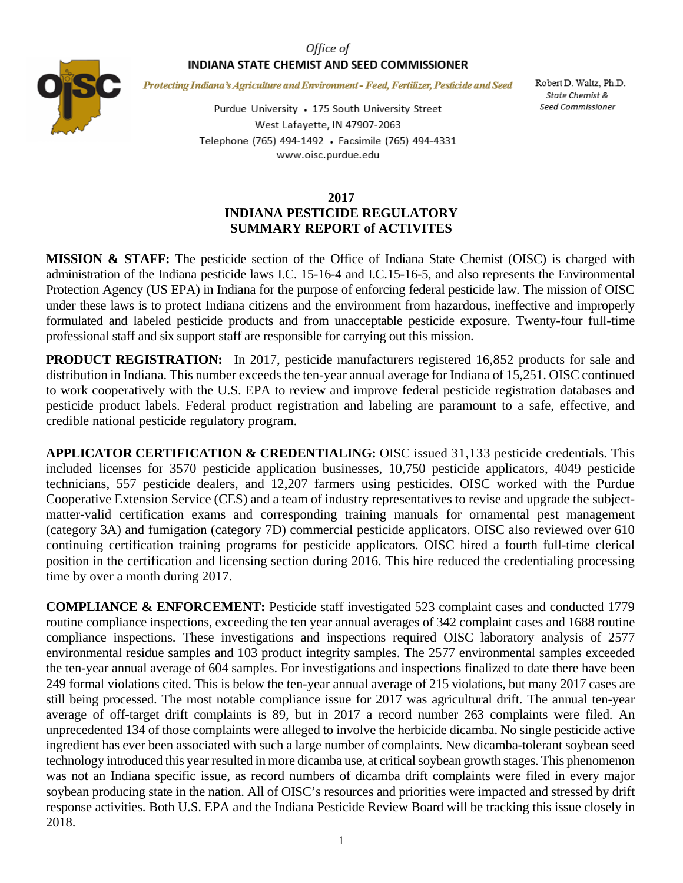## Office of INDIANA STATE CHEMIST AND SEED COMMISSIONER



Protecting Indiana's Agriculture and Environment - Feed, Fertilizer, Pesticide and Seed

Purdue University • 175 South University Street West Lafayette, IN 47907-2063 Telephone (765) 494-1492 · Facsimile (765) 494-4331 www.oisc.purdue.edu

## **2017 INDIANA PESTICIDE REGULATORY SUMMARY REPORT of ACTIVITES**

**MISSION & STAFF:** The pesticide section of the Office of Indiana State Chemist (OISC) is charged with administration of the Indiana pesticide laws I.C. 15-16-4 and I.C.15-16-5, and also represents the Environmental Protection Agency (US EPA) in Indiana for the purpose of enforcing federal pesticide law. The mission of OISC under these laws is to protect Indiana citizens and the environment from hazardous, ineffective and improperly formulated and labeled pesticide products and from unacceptable pesticide exposure. Twenty-four full-time professional staff and six support staff are responsible for carrying out this mission.

**PRODUCT REGISTRATION:** In 2017, pesticide manufacturers registered 16,852 products for sale and distribution in Indiana. This number exceeds the ten-year annual average for Indiana of 15,251. OISC continued to work cooperatively with the U.S. EPA to review and improve federal pesticide registration databases and pesticide product labels. Federal product registration and labeling are paramount to a safe, effective, and credible national pesticide regulatory program.

**APPLICATOR CERTIFICATION & CREDENTIALING:** OISC issued 31,133 pesticide credentials. This included licenses for 3570 pesticide application businesses, 10,750 pesticide applicators, 4049 pesticide technicians, 557 pesticide dealers, and 12,207 farmers using pesticides. OISC worked with the Purdue Cooperative Extension Service (CES) and a team of industry representatives to revise and upgrade the subjectmatter-valid certification exams and corresponding training manuals for ornamental pest management (category 3A) and fumigation (category 7D) commercial pesticide applicators. OISC also reviewed over 610 continuing certification training programs for pesticide applicators. OISC hired a fourth full-time clerical position in the certification and licensing section during 2016. This hire reduced the credentialing processing time by over a month during 2017.

**COMPLIANCE & ENFORCEMENT:** Pesticide staff investigated 523 complaint cases and conducted 1779 routine compliance inspections, exceeding the ten year annual averages of 342 complaint cases and 1688 routine compliance inspections. These investigations and inspections required OISC laboratory analysis of 2577 environmental residue samples and 103 product integrity samples. The 2577 environmental samples exceeded the ten-year annual average of 604 samples. For investigations and inspections finalized to date there have been 249 formal violations cited. This is below the ten-year annual average of 215 violations, but many 2017 cases are still being processed. The most notable compliance issue for 2017 was agricultural drift. The annual ten-year average of off-target drift complaints is 89, but in 2017 a record number 263 complaints were filed. An unprecedented 134 of those complaints were alleged to involve the herbicide dicamba. No single pesticide active ingredient has ever been associated with such a large number of complaints. New dicamba-tolerant soybean seed technology introduced this year resulted in more dicamba use, at critical soybean growth stages. This phenomenon was not an Indiana specific issue, as record numbers of dicamba drift complaints were filed in every major soybean producing state in the nation. All of OISC's resources and priorities were impacted and stressed by drift response activities. Both U.S. EPA and the Indiana Pesticide Review Board will be tracking this issue closely in 2018.

Robert D. Waltz, Ph.D. State Chemist & Seed Commissioner